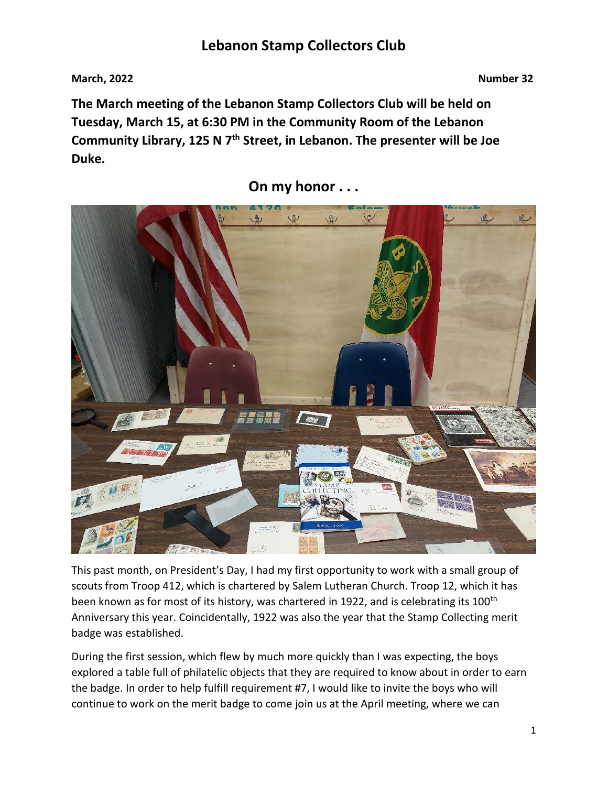**March, 2022 Number 32**

**The March meeting of the Lebanon Stamp Collectors Club will be held on Tuesday, March 15, at 6:30 PM in the Community Room of the Lebanon Community Library, 125 N 7th Street, in Lebanon. The presenter will be Joe Duke.**



**On my honor . . .** 

This past month, on President's Day, I had my first opportunity to work with a small group of scouts from Troop 412, which is chartered by Salem Lutheran Church. Troop 12, which it has been known as for most of its history, was chartered in 1922, and is celebrating its 100<sup>th</sup> Anniversary this year. Coincidentally, 1922 was also the year that the Stamp Collecting merit badge was established.

During the first session, which flew by much more quickly than I was expecting, the boys explored a table full of philatelic objects that they are required to know about in order to earn the badge. In order to help fulfill requirement #7, I would like to invite the boys who will continue to work on the merit badge to come join us at the April meeting, where we can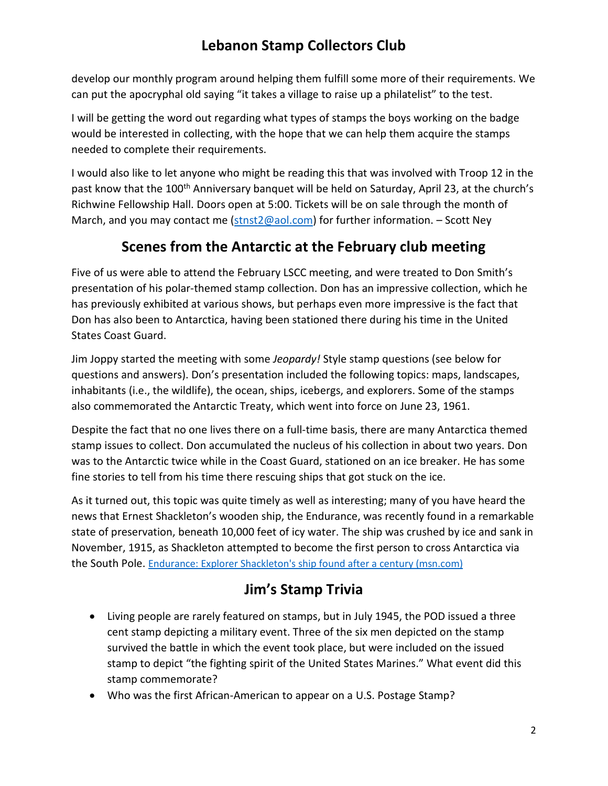develop our monthly program around helping them fulfill some more of their requirements. We can put the apocryphal old saying "it takes a village to raise up a philatelist" to the test.

I will be getting the word out regarding what types of stamps the boys working on the badge would be interested in collecting, with the hope that we can help them acquire the stamps needed to complete their requirements.

I would also like to let anyone who might be reading this that was involved with Troop 12 in the past know that the 100<sup>th</sup> Anniversary banquet will be held on Saturday, April 23, at the church's Richwine Fellowship Hall. Doors open at 5:00. Tickets will be on sale through the month of March, and you may contact me [\(stnst2@aol.com\)](mailto:stnst2@aol.com) for further information. – Scott Ney

# **Scenes from the Antarctic at the February club meeting**

Five of us were able to attend the February LSCC meeting, and were treated to Don Smith's presentation of his polar-themed stamp collection. Don has an impressive collection, which he has previously exhibited at various shows, but perhaps even more impressive is the fact that Don has also been to Antarctica, having been stationed there during his time in the United States Coast Guard.

Jim Joppy started the meeting with some *Jeopardy!* Style stamp questions (see below for questions and answers). Don's presentation included the following topics: maps, landscapes, inhabitants (i.e., the wildlife), the ocean, ships, icebergs, and explorers. Some of the stamps also commemorated the Antarctic Treaty, which went into force on June 23, 1961.

Despite the fact that no one lives there on a full-time basis, there are many Antarctica themed stamp issues to collect. Don accumulated the nucleus of his collection in about two years. Don was to the Antarctic twice while in the Coast Guard, stationed on an ice breaker. He has some fine stories to tell from his time there rescuing ships that got stuck on the ice.

As it turned out, this topic was quite timely as well as interesting; many of you have heard the news that Ernest Shackleton's wooden ship, the Endurance, was recently found in a remarkable state of preservation, beneath 10,000 feet of icy water. The ship was crushed by ice and sank in November, 1915, as Shackleton attempted to become the first person to cross Antarctica via the South Pole. [Endurance: Explorer Shackleton's ship found after a century \(msn.com\)](https://www.msn.com/en-us/news/world/endurance-explorer-shackleton-s-ship-found-after-a-century/ar-AAUQ5Y9)

# **Jim's Stamp Trivia**

- Living people are rarely featured on stamps, but in July 1945, the POD issued a three cent stamp depicting a military event. Three of the six men depicted on the stamp survived the battle in which the event took place, but were included on the issued stamp to depict "the fighting spirit of the United States Marines." What event did this stamp commemorate?
- Who was the first African-American to appear on a U.S. Postage Stamp?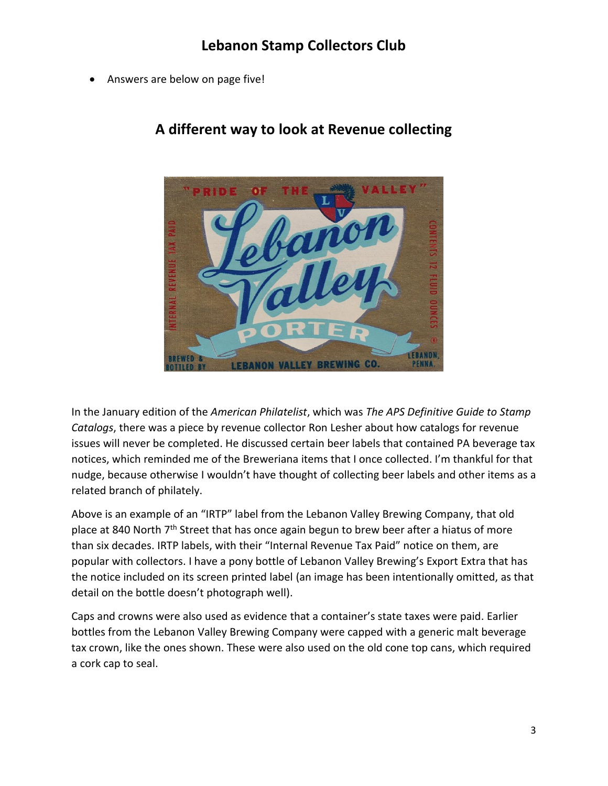Answers are below on page five!



### **A different way to look at Revenue collecting**

In the January edition of the *American Philatelist*, which was *The APS Definitive Guide to Stamp Catalogs*, there was a piece by revenue collector Ron Lesher about how catalogs for revenue issues will never be completed. He discussed certain beer labels that contained PA beverage tax notices, which reminded me of the Breweriana items that I once collected. I'm thankful for that nudge, because otherwise I wouldn't have thought of collecting beer labels and other items as a related branch of philately.

Above is an example of an "IRTP" label from the Lebanon Valley Brewing Company, that old place at 840 North 7<sup>th</sup> Street that has once again begun to brew beer after a hiatus of more than six decades. IRTP labels, with their "Internal Revenue Tax Paid" notice on them, are popular with collectors. I have a pony bottle of Lebanon Valley Brewing's Export Extra that has the notice included on its screen printed label (an image has been intentionally omitted, as that detail on the bottle doesn't photograph well).

Caps and crowns were also used as evidence that a container's state taxes were paid. Earlier bottles from the Lebanon Valley Brewing Company were capped with a generic malt beverage tax crown, like the ones shown. These were also used on the old cone top cans, which required a cork cap to seal.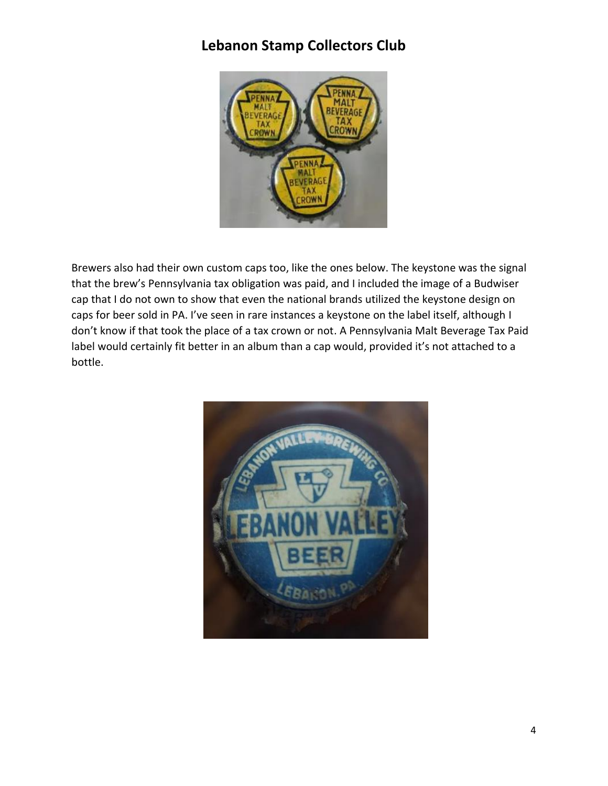

Brewers also had their own custom caps too, like the ones below. The keystone was the signal that the brew's Pennsylvania tax obligation was paid, and I included the image of a Budwiser cap that I do not own to show that even the national brands utilized the keystone design on caps for beer sold in PA. I've seen in rare instances a keystone on the label itself, although I don't know if that took the place of a tax crown or not. A Pennsylvania Malt Beverage Tax Paid label would certainly fit better in an album than a cap would, provided it's not attached to a bottle.

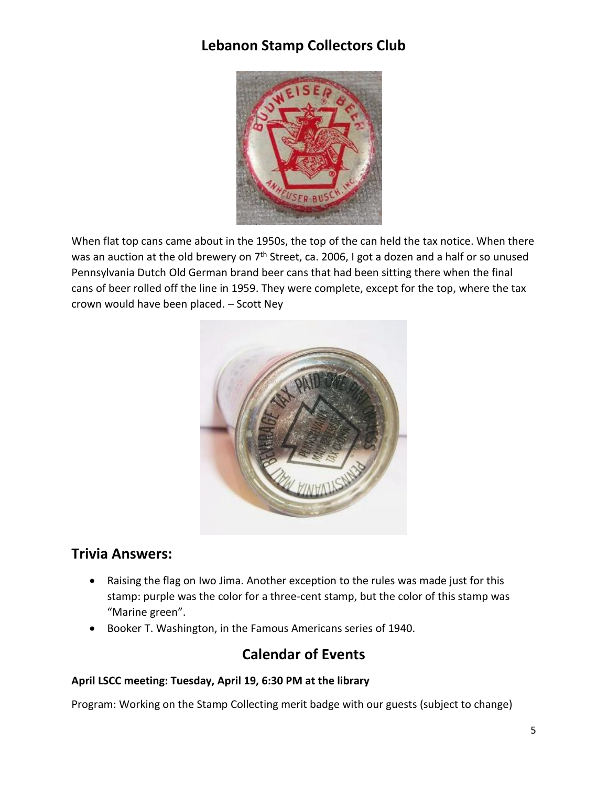

When flat top cans came about in the 1950s, the top of the can held the tax notice. When there was an auction at the old brewery on  $7<sup>th</sup>$  Street, ca. 2006, I got a dozen and a half or so unused Pennsylvania Dutch Old German brand beer cans that had been sitting there when the final cans of beer rolled off the line in 1959. They were complete, except for the top, where the tax crown would have been placed. – Scott Ney



### **Trivia Answers:**

- Raising the flag on Iwo Jima. Another exception to the rules was made just for this stamp: purple was the color for a three-cent stamp, but the color of this stamp was "Marine green".
- Booker T. Washington, in the Famous Americans series of 1940.

### **Calendar of Events**

#### **April LSCC meeting: Tuesday, April 19, 6:30 PM at the library**

Program: Working on the Stamp Collecting merit badge with our guests (subject to change)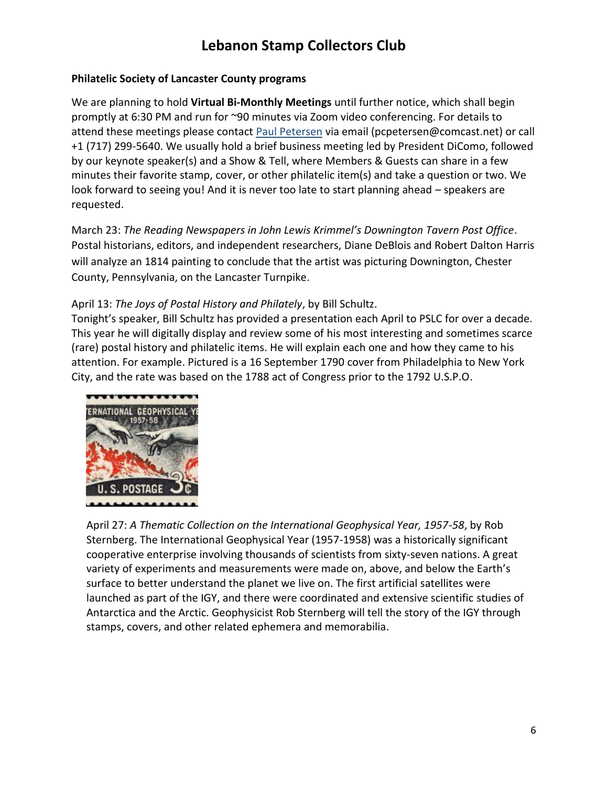#### **Philatelic Society of Lancaster County programs**

We are planning to hold **Virtual Bi-Monthly Meetings** until further notice, which shall begin promptly at 6:30 PM and run for ~90 minutes via Zoom video conferencing. For details to attend these meetings please contact [Paul Petersen](mailto:pcpetersen@comcast.net) via email (pcpetersen@comcast.net) or call +1 (717) 299-5640. We usually hold a brief business meeting led by President DiComo, followed by our keynote speaker(s) and a Show & Tell, where Members & Guests can share in a few minutes their favorite stamp, cover, or other philatelic item(s) and take a question or two. We look forward to seeing you! And it is never too late to start planning ahead – speakers are requested.

March 23: *The Reading Newspapers in John Lewis Krimmel's Downington Tavern Post Office*. Postal historians, editors, and independent researchers, Diane DeBlois and Robert Dalton Harris will analyze an 1814 painting to conclude that the artist was picturing Downington, Chester County, Pennsylvania, on the Lancaster Turnpike.

### April 13: *The Joys of Postal History and Philately*, by Bill Schultz.

Tonight's speaker, Bill Schultz has provided a presentation each April to PSLC for over a decade. This year he will digitally display and review some of his most interesting and sometimes scarce (rare) postal history and philatelic items. He will explain each one and how they came to his attention. For example. Pictured is a 16 September 1790 cover from Philadelphia to New York City, and the rate was based on the 1788 act of Congress prior to the 1792 U.S.P.O.



April 27: *A Thematic Collection on the International Geophysical Year, 1957-58*, by Rob Sternberg. The International Geophysical Year (1957-1958) was a historically significant cooperative enterprise involving thousands of scientists from sixty-seven nations. A great variety of experiments and measurements were made on, above, and below the Earth's surface to better understand the planet we live on. The first artificial satellites were launched as part of the IGY, and there were coordinated and extensive scientific studies of Antarctica and the Arctic. Geophysicist Rob Sternberg will tell the story of the IGY through stamps, covers, and other related ephemera and memorabilia.